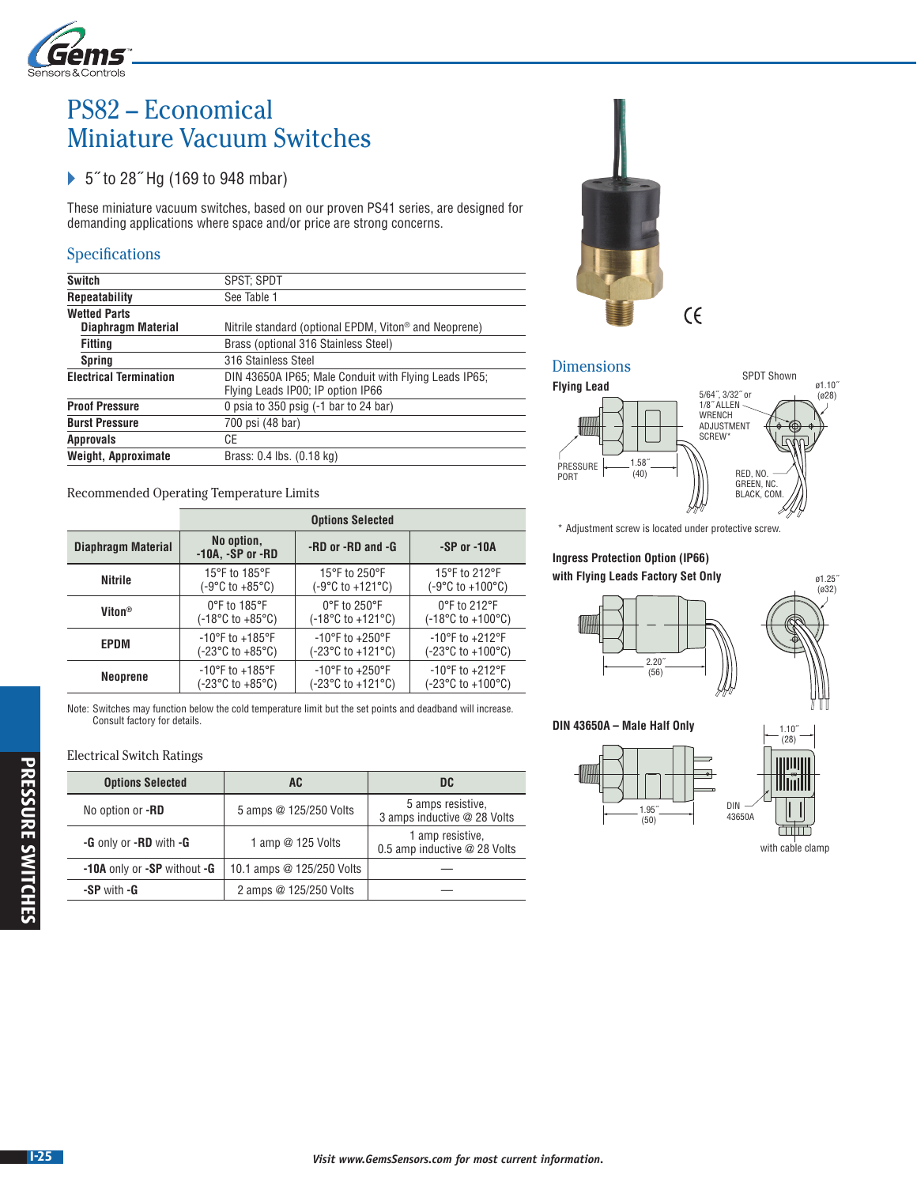

# PS82 – Economical Miniature Vacuum Switches

# ▶ 5<sup>*r*</sup> to 28<sup>*r*</sup> Hg (169 to 948 mbar)

These miniature vacuum switches, based on our proven PS41 series, are designed for demanding applications where space and/or price are strong concerns.

## Specifications

| <b>Switch</b>                                                                                                               | SPST: SPDT                                                        |  |  |
|-----------------------------------------------------------------------------------------------------------------------------|-------------------------------------------------------------------|--|--|
| <b>Repeatability</b>                                                                                                        | See Table 1                                                       |  |  |
| <b>Wetted Parts</b>                                                                                                         |                                                                   |  |  |
| Diaphragm Material                                                                                                          | Nitrile standard (optional EPDM, Viton <sup>®</sup> and Neoprene) |  |  |
| <b>Fitting</b>                                                                                                              | Brass (optional 316 Stainless Steel)                              |  |  |
| <b>Spring</b>                                                                                                               | 316 Stainless Steel                                               |  |  |
| <b>Electrical Termination</b><br>DIN 43650A IP65; Male Conduit with Flying Leads IP65;<br>Flying Leads IP00; IP option IP66 |                                                                   |  |  |
| <b>Proof Pressure</b>                                                                                                       | 0 psia to 350 psig $(-1)$ bar to 24 bar)                          |  |  |
| <b>Burst Pressure</b>                                                                                                       | 700 psi (48 bar)                                                  |  |  |
| <b>Approvals</b>                                                                                                            | СE                                                                |  |  |
| Weight, Approximate<br>Brass: 0.4 lbs. (0.18 kg)                                                                            |                                                                   |  |  |
|                                                                                                                             |                                                                   |  |  |

Recommended Operating Temperature Limits

|                    | <b>Options Selected</b>                   |                                        |                                        |  |
|--------------------|-------------------------------------------|----------------------------------------|----------------------------------------|--|
| Diaphragm Material | No option,<br>$-10A$ , $-SP$ or $-BD$     | -RD or -RD and -G                      | $-SP$ or $-10A$                        |  |
| <b>Nitrile</b>     | 15°F to 185°F                             | 15°F to 250°F                          | 15°F to 212°F                          |  |
|                    | $(-9^{\circ}C \text{ to } +85^{\circ}C)$  | (-9°C to +121°C)                       | (-9°C to +100°C)                       |  |
| Viton <sup>®</sup> | $0^{\circ}$ F to 185 $^{\circ}$ F         | $0^{\circ}$ F to 250 $^{\circ}$ F      | 0°F to 212°F                           |  |
|                    | $(-18^{\circ}C \text{ to } +85^{\circ}C)$ | $(-18^{\circ}$ C to +121 $^{\circ}$ C) | $(-18^{\circ}$ C to +100 $^{\circ}$ C) |  |
| EPDM               | $-10^{\circ}$ F to $+185^{\circ}$ F       | $-10^{\circ}$ F to $+250^{\circ}$ F    | $-10^{\circ}$ F to $+212^{\circ}$ F    |  |
|                    | $(-23^{\circ}C \text{ to } +85^{\circ}C)$ | (-23°C to +121°C)                      | (-23°C to +100°C)                      |  |
| Neoprene           | $-10^{\circ}$ F to $+185^{\circ}$ F       | $-10^{\circ}$ F to $+250^{\circ}$ F    | $-10^{\circ}$ F to $+212^{\circ}$ F    |  |
|                    | $(-23^{\circ}C \text{ to } +85^{\circ}C)$ | (-23°C to +121°C)                      | (-23°C to +100°C)                      |  |

Note: Switches may function below the cold temperature limit but the set points and deadband will increase. Consult factory for details.

#### Electrical Switch Ratings

| <b>Options Selected</b>     | AC                        | DC                                               |
|-----------------------------|---------------------------|--------------------------------------------------|
| No option or -RD            | 5 amps @ 125/250 Volts    | 5 amps resistive.<br>3 amps inductive @ 28 Volts |
| -G only or -RD with -G      | 1 amp $@$ 125 Volts       | 1 amp resistive,<br>0.5 amp inductive @ 28 Volts |
| -10A only or -SP without -G | 10.1 amps @ 125/250 Volts |                                                  |
| -SP with -G                 | 2 amps @ 125/250 Volts    |                                                  |



## Dimensions



\* Adjustment screw is located under protective screw.

## **Ingress Protection Option (IP66) with Flying Leads Factory Set Only**



**DIN 43650A – Male Half Only**



with cable clamp

ø1.25˝  $(032)$